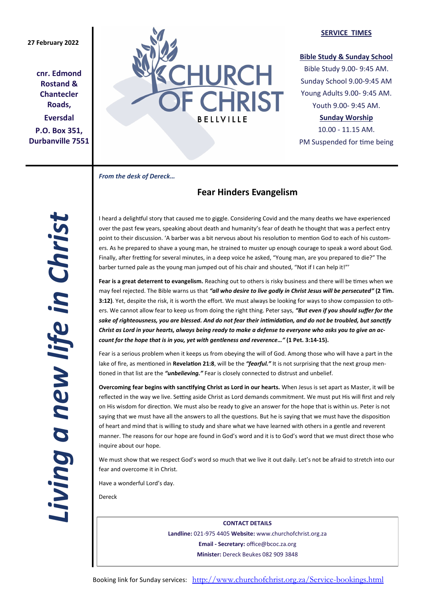**cnr. Edmond Rostand & Chantecler Roads, Eversdal P.O. Box 351, Durbanville 7551**



#### **SERVICE TIMES**

### **Bible Study & Sunday School**

Bible Study 9.00- 9:45 AM. Sunday School 9.00-9:45 AM Young Adults 9.00- 9:45 AM. Youth 9.00- 9:45 AM.

## **Sunday Worship**

10.00 - 11.15 AM. PM Suspended for time being

*From the desk of Dereck…* 

# **Fear Hinders Evangelism**

I heard a delightful story that caused me to giggle. Considering Covid and the many deaths we have experienced over the past few years, speaking about death and humanity's fear of death he thought that was a perfect entry point to their discussion. 'A barber was a bit nervous about his resolution to mention God to each of his customers. As he prepared to shave a young man, he strained to muster up enough courage to speak a word about God. Finally, after fretting for several minutes, in a deep voice he asked, "Young man, are you prepared to die?" The barber turned pale as the young man jumped out of his chair and shouted, "Not if I can help it!"'

**Fear is a great deterrent to evangelism.** Reaching out to others is risky business and there will be times when we may feel rejected. The Bible warns us that *"all who desire to live godly in Christ Jesus will be persecuted"* **(2 Tim. 3:12)**. Yet, despite the risk, it is worth the effort. We must always be looking for ways to show compassion to others. We cannot allow fear to keep us from doing the right thing. Peter says, *"But even if you should suffer for the sake of righteousness, you are blessed. And do not fear their intimidation, and do not be troubled, but sanctify Christ as Lord in your hearts, always being ready to make a defense to everyone who asks you to give an account for the hope that is in you, yet with gentleness and reverence…"* **(1 Pet. 3:14-15).**

Fear is a serious problem when it keeps us from obeying the will of God. Among those who will have a part in the lake of fire, as mentioned in **Revelation 21:8**, will be the *"fearful."* It is not surprising that the next group mentioned in that list are the *"unbelieving."* Fear is closely connected to distrust and unbelief.

**Overcoming fear begins with sanctifying Christ as Lord in our hearts.** When Jesus is set apart as Master, it will be reflected in the way we live. Setting aside Christ as Lord demands commitment. We must put His will first and rely on His wisdom for direction. We must also be ready to give an answer for the hope that is within us. Peter is not saying that we must have all the answers to all the questions. But he is saying that we must have the disposition of heart and mind that is willing to study and share what we have learned with others in a gentle and reverent manner. The reasons for our hope are found in God's word and it is to God's word that we must direct those who inquire about our hope.

We must show that we respect God's word so much that we live it out daily. Let's not be afraid to stretch into our fear and overcome it in Christ.

Have a wonderful Lord's day.

Dereck

**CONTACT DETAILS Landline:** 021-975 4405 **Website:** www.churchofchrist.org.za **Email - Secretary:** office@bcoc.za.org **Minister:** Dereck Beukes 082 909 3848